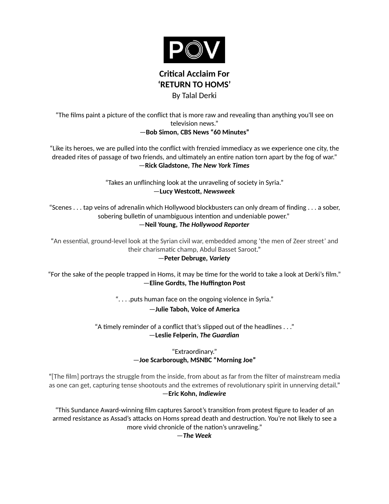

By Talal Derki

"The films paint a picture of the conflict that is more raw and revealing than anything you'll see on television news."

## —**Bob Simon, [CBS News "60 Minutes"](http://www.cbsnews.com/news/syrian-civil-war-60-minutes-bob-simon/)**

"Like its heroes, we are pulled into the conflict with frenzied immediacy as we experience one city, the dreaded rites of passage of two friends, and ultimately an entire nation torn apart by the fog of war." —**Rick Gladstone,** *[The New York Times](http://www.nytimes.com/2014/02/13/world/middleeast/amid-the-debris-of-homs-a-guerrilla-is-born.html?hpw&rref=world&_r=1)*

> "Takes an unflinching look at the unraveling of society in Syria." —**Lucy Westcott,** *[Newsweek](http://www.newsweek.com/goalkeeper-insurgent-return-homs-goes-syrias-frontline-321630)*

"Scenes . . . tap veins of adrenalin which Hollywood blockbusters can only dream of finding . . . a sober, sobering bulletin of unambiguous intention and undeniable power." —**Neil Young,** *[The Hollywood Reporter](http://www.hollywoodreporter.com/review/return-homs-idfa-review-661955)*

"An essential, ground-level look at the Syrian civil war, embedded among 'the men of Zeer street' and their charismatic champ, Abdul Basset Saroot." —**Peter Debruge,** *[Variety](http://variety.com/2014/film/reviews/film-review-return-to-homs-1201145896/)*

"For the sake of the people trapped in Homs, it may be time for the world to take a look at Derki's film." —**Eline Gordts, [The Huffington Post](http://www.huffingtonpost.com/2014/02/03/return-to-homs_n_4716943.html)**

". . . .puts human face on the ongoing violence in Syria."

# —**Julie Taboh, [Voice of America](http://www.voanews.com/content/return-to-homs-puts-human-face-on-syria-conflict-/1904480.html)**

"A timely reminder of a conflict that's slipped out of the headlines . . ." —**Leslie Felperin,** *[The Guardian](http://www.theguardian.com/film/2014/jun/26/return-to-homs-documentary-review-syria)*

> "Extraordinary." —**Joe Scarborough, MSNBC ["Morning Joe"](http://www.msnbc.com/morning-joe/watch/filmmaker-captures-frontlines-of-syrian-civil-war-424803395949)**

"[The film] portrays the struggle from the inside, from about as far from the filter of mainstream media as one can get, capturing tense shootouts and the extremes of revolutionary spirit in unnerving detail." —**Eric Kohn,** *[Indiewire](http://www.indiewire.com/article/review-groundbreaking-perspective-of-syrian-civil-war-reveals-dire-situation-in-idfa-opener-return-to-homs)*

"This Sundance Award-winning film captures Saroot's transition from protest figure to leader of an armed resistance as Assad's attacks on Homs spread death and destruction. You're not likely to see a more vivid chronicle of the nation's unraveling."

—*The Week*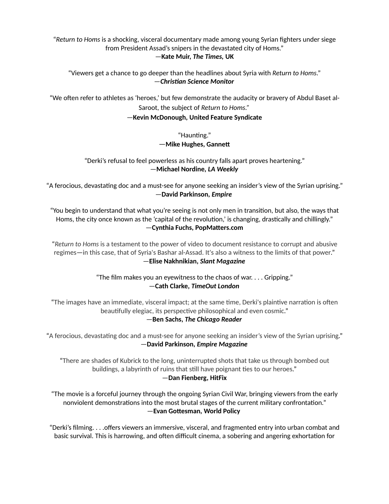"*Return to Homs* is a shocking, visceral documentary made among young Syrian fighters under siege from President Assad's snipers in the devastated city of Homs."

#### —**Kate Muir,** *[The Times,](http://www.thetimes.co.uk/tto/arts/film/reviews/article4131011.ece)* **UK**

"Viewers get a chance to go deeper than the headlines about Syria with *Return to Homs*." —*Christian Science Monitor*

"We often refer to athletes as 'heroes,' but few demonstrate the audacity or bravery of Abdul Baset al-Saroot, the subject of *Return to Homs."*

### —**Kevin McDonough, [United Feature Syndicate](http://tunein2nite.blogspot.com/)**

"Haunting." —**Mike Hughes, Gannett**

## "Derki's refusal to feel powerless as his country falls apart proves heartening." —**Michael Nordine,** *LA Weekly*

"A ferocious, devastating doc and a must-see for anyone seeking an insider's view of the Syrian uprising." —**David Parkinson,** *[Empire](http://www.empireonline.com/reviews/reviewcomplete.asp?FID=138679)*

"You begin to understand that what you're seeing is not only men in transition, but also, the ways that Homs, the city once known as the 'capital of the revolution,' is changing, drastically and chillingly." —**Cynthia Fuchs, [PopMatters.com](http://www.popmatters.com/review/182779-human-rights-watch-film-festival-new-york-2014-return-to-homs/)**

"*Return to Homs* is a testament to the power of video to document resistance to corrupt and abusive regimes—in this case, that of Syria's Bashar al-Assad. It's also a witness to the limits of that power." —**Elise Nakhnikian,** *[Slant Magazine](http://www.slantmagazine.com/film/review/return-to-homs)*

> "The film makes you an eyewitness to the chaos of war. . . . Gripping." —**Cath Clarke,** *[TimeOut London](http://www.timeout.com/london/film/return-to-homs-2013)*

"The images have an immediate, visceral impact; at the same time, Derki's plaintive narration is often beautifully elegiac, its perspective philosophical and even cosmic."

## —**Ben Sachs,** *[The Chicago Reader](http://www.chicagoreader.com/chicago/return-to-homs/Film?oid=13765237)*

"A ferocious, devastating doc and a must-see for anyone seeking an insider's view of the Syrian uprising." —**David Parkinson,** *[Empire Magazine](http://www.empireonline.com/reviews/reviewcomplete.asp?FID=138679)*

"There are shades of Kubrick to the long, uninterrupted shots that take us through bombed out buildings, a labyrinth of ruins that still have poignant ties to our heroes." —**Dan Fienberg, [HitFix](http://www.hitfix.com/the-fien-print/sundance-review-roundup-from-the-fien-print/3)**

"The movie is a forceful journey through the ongoing Syrian Civil War, bringing viewers from the early nonviolent demonstrations into the most brutal stages of the current military confrontation." —**Evan Gottesman, [World Policy](http://www.worldpolicy.org/blog/2015/05/26/returning-homs)**

"Derki's filming. . . .offers viewers an immersive, visceral, and fragmented entry into urban combat and basic survival. This is harrowing, and often difficult cinema, a sobering and angering exhortation for